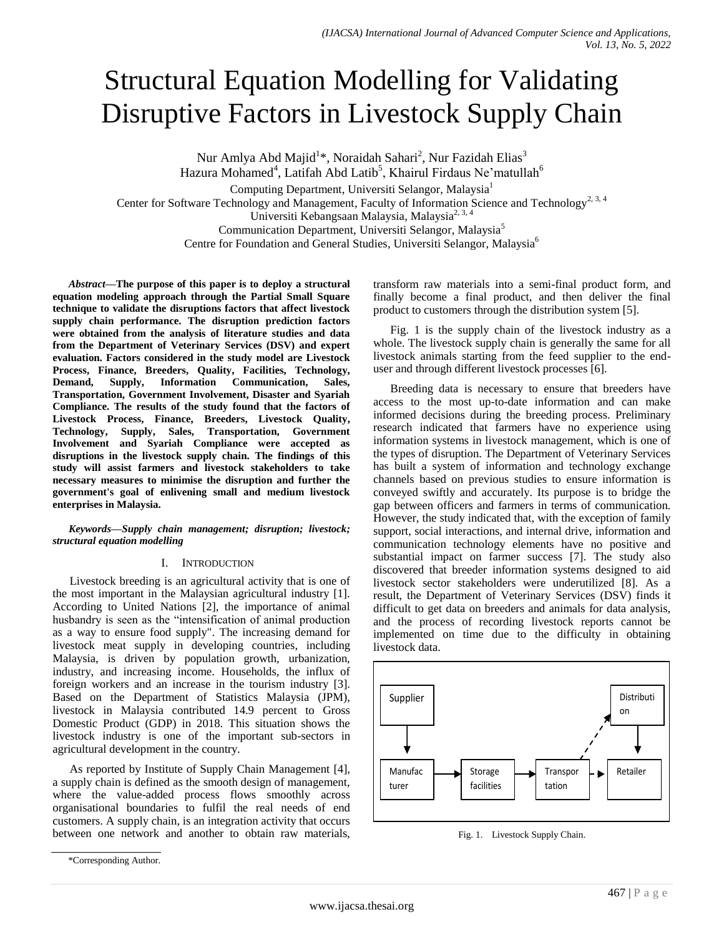# Structural Equation Modelling for Validating Disruptive Factors in Livestock Supply Chain

Nur Amlya Abd Majid<sup>1</sup>\*, Noraidah Sahari<sup>2</sup>, Nur Fazidah Elias<sup>3</sup>

Hazura Mohamed<sup>4</sup>, Latifah Abd Latib<sup>5</sup>, Khairul Firdaus Ne'matullah<sup>6</sup>

Computing Department, Universiti Selangor, Malaysia<sup>1</sup>

Center for Software Technology and Management, Faculty of Information Science and Technology<sup>2, 3, 4</sup>

Universiti Kebangsaan Malaysia, Malaysia<sup>2, 3, 4</sup>

Communication Department, Universiti Selangor, Malaysia<sup>5</sup>

Centre for Foundation and General Studies, Universiti Selangor, Malaysia<sup>6</sup>

*Abstract***—The purpose of this paper is to deploy a structural equation modeling approach through the Partial Small Square technique to validate the disruptions factors that affect livestock supply chain performance. The disruption prediction factors were obtained from the analysis of literature studies and data from the Department of Veterinary Services (DSV) and expert evaluation. Factors considered in the study model are Livestock Process, Finance, Breeders, Quality, Facilities, Technology, Demand, Supply, Information Communication, Sales, Transportation, Government Involvement, Disaster and Syariah Compliance. The results of the study found that the factors of Livestock Process, Finance, Breeders, Livestock Quality, Technology, Supply, Sales, Transportation, Government Involvement and Syariah Compliance were accepted as disruptions in the livestock supply chain. The findings of this study will assist farmers and livestock stakeholders to take necessary measures to minimise the disruption and further the government's goal of enlivening small and medium livestock enterprises in Malaysia.**

*Keywords—Supply chain management; disruption; livestock; structural equation modelling*

## I. INTRODUCTION

Livestock breeding is an agricultural activity that is one of the most important in the Malaysian agricultural industry [1]. According to United Nations [2], the importance of animal husbandry is seen as the "intensification of animal production as a way to ensure food supply". The increasing demand for livestock meat supply in developing countries, including Malaysia, is driven by population growth, urbanization, industry, and increasing income. Households, the influx of foreign workers and an increase in the tourism industry [3]. Based on the Department of Statistics Malaysia (JPM), livestock in Malaysia contributed 14.9 percent to Gross Domestic Product (GDP) in 2018. This situation shows the livestock industry is one of the important sub-sectors in agricultural development in the country.

As reported by Institute of Supply Chain Management [4], a supply chain is defined as the smooth design of management, where the value-added process flows smoothly across organisational boundaries to fulfil the real needs of end customers. A supply chain, is an integration activity that occurs between one network and another to obtain raw materials,

transform raw materials into a semi-final product form, and finally become a final product, and then deliver the final product to customers through the distribution system [5].

Fig. 1 is the supply chain of the livestock industry as a whole. The livestock supply chain is generally the same for all livestock animals starting from the feed supplier to the enduser and through different livestock processes [6].

Breeding data is necessary to ensure that breeders have access to the most up-to-date information and can make informed decisions during the breeding process. Preliminary research indicated that farmers have no experience using information systems in livestock management, which is one of the types of disruption. The Department of Veterinary Services has built a system of information and technology exchange channels based on previous studies to ensure information is conveyed swiftly and accurately. Its purpose is to bridge the gap between officers and farmers in terms of communication. However, the study indicated that, with the exception of family support, social interactions, and internal drive, information and communication technology elements have no positive and substantial impact on farmer success [7]. The study also discovered that breeder information systems designed to aid livestock sector stakeholders were underutilized [8]. As a result, the Department of Veterinary Services (DSV) finds it difficult to get data on breeders and animals for data analysis, and the process of recording livestock reports cannot be implemented on time due to the difficulty in obtaining livestock data.



Fig. 1. Livestock Supply Chain.

<sup>\*</sup>Corresponding Author.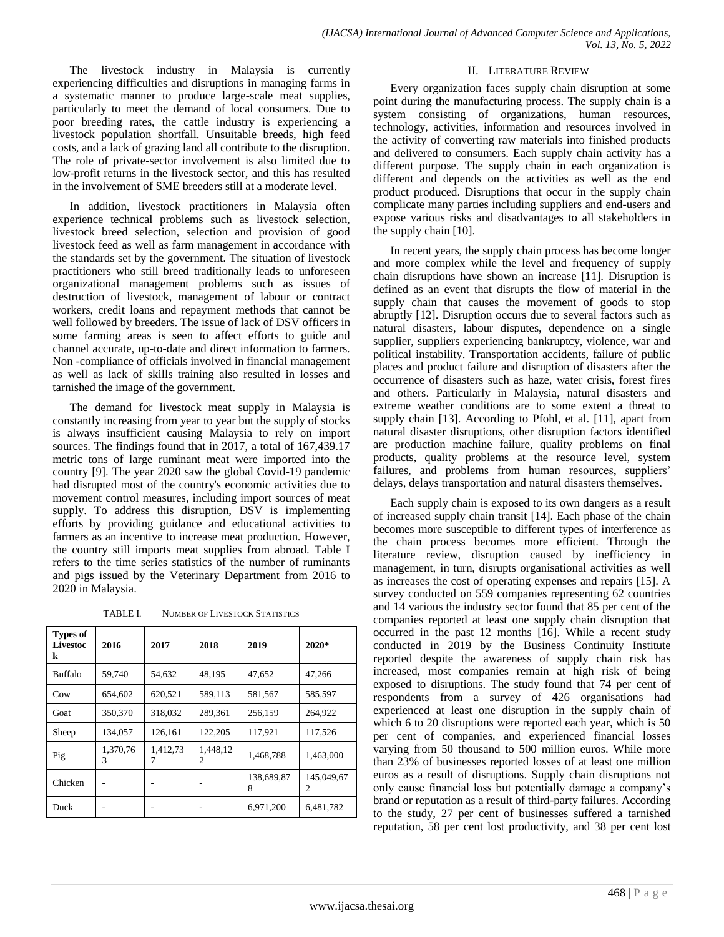The livestock industry in Malaysia is currently experiencing difficulties and disruptions in managing farms in a systematic manner to produce large-scale meat supplies, particularly to meet the demand of local consumers. Due to poor breeding rates, the cattle industry is experiencing a livestock population shortfall. Unsuitable breeds, high feed costs, and a lack of grazing land all contribute to the disruption. The role of private-sector involvement is also limited due to low-profit returns in the livestock sector, and this has resulted in the involvement of SME breeders still at a moderate level.

In addition, livestock practitioners in Malaysia often experience technical problems such as livestock selection, livestock breed selection, selection and provision of good livestock feed as well as farm management in accordance with the standards set by the government. The situation of livestock practitioners who still breed traditionally leads to unforeseen organizational management problems such as issues of destruction of livestock, management of labour or contract workers, credit loans and repayment methods that cannot be well followed by breeders. The issue of lack of DSV officers in some farming areas is seen to affect efforts to guide and channel accurate, up-to-date and direct information to farmers. Non -compliance of officials involved in financial management as well as lack of skills training also resulted in losses and tarnished the image of the government.

The demand for livestock meat supply in Malaysia is constantly increasing from year to year but the supply of stocks is always insufficient causing Malaysia to rely on import sources. The findings found that in 2017, a total of 167,439.17 metric tons of large ruminant meat were imported into the country [9]. The year 2020 saw the global Covid-19 pandemic had disrupted most of the country's economic activities due to movement control measures, including import sources of meat supply. To address this disruption, DSV is implementing efforts by providing guidance and educational activities to farmers as an incentive to increase meat production. However, the country still imports meat supplies from abroad. Table I refers to the time series statistics of the number of ruminants and pigs issued by the Veterinary Department from 2016 to 2020 in Malaysia.

TABLE I. NUMBER OF LIVESTOCK STATISTICS

| <b>Types of</b><br>Livestoc<br>k | 2016          | 2017          | 2018          | 2019            | $2020*$         |
|----------------------------------|---------------|---------------|---------------|-----------------|-----------------|
| Buffalo                          | 59,740        | 54,632        | 48.195        | 47.652          | 47,266          |
| Cow                              | 654,602       | 620,521       | 589,113       | 581,567         | 585,597         |
| Goat                             | 350,370       | 318,032       | 289,361       | 256,159         | 264.922         |
| Sheep                            | 134.057       | 126.161       | 122,205       | 117.921         | 117,526         |
| Pig                              | 1.370.76<br>3 | 1,412,73<br>7 | 1.448.12<br>2 | 1.468.788       | 1,463,000       |
| Chicken                          |               |               |               | 138,689,87<br>8 | 145,049,67<br>2 |
| Duck                             |               |               |               | 6,971,200       | 6,481,782       |

# II. LITERATURE REVIEW

Every organization faces supply chain disruption at some point during the manufacturing process. The supply chain is a system consisting of organizations, human resources, technology, activities, information and resources involved in the activity of converting raw materials into finished products and delivered to consumers. Each supply chain activity has a different purpose. The supply chain in each organization is different and depends on the activities as well as the end product produced. Disruptions that occur in the supply chain complicate many parties including suppliers and end-users and expose various risks and disadvantages to all stakeholders in the supply chain [10].

In recent years, the supply chain process has become longer and more complex while the level and frequency of supply chain disruptions have shown an increase [11]. Disruption is defined as an event that disrupts the flow of material in the supply chain that causes the movement of goods to stop abruptly [12]. Disruption occurs due to several factors such as natural disasters, labour disputes, dependence on a single supplier, suppliers experiencing bankruptcy, violence, war and political instability. Transportation accidents, failure of public places and product failure and disruption of disasters after the occurrence of disasters such as haze, water crisis, forest fires and others. Particularly in Malaysia, natural disasters and extreme weather conditions are to some extent a threat to supply chain [13]. According to Pfohl, et al. [11], apart from natural disaster disruptions, other disruption factors identified are production machine failure, quality problems on final products, quality problems at the resource level, system failures, and problems from human resources, suppliers' delays, delays transportation and natural disasters themselves.

Each supply chain is exposed to its own dangers as a result of increased supply chain transit [14]. Each phase of the chain becomes more susceptible to different types of interference as the chain process becomes more efficient. Through the literature review, disruption caused by inefficiency in management, in turn, disrupts organisational activities as well as increases the cost of operating expenses and repairs [15]. A survey conducted on 559 companies representing 62 countries and 14 various the industry sector found that 85 per cent of the companies reported at least one supply chain disruption that occurred in the past 12 months [16]. While a recent study conducted in 2019 by the Business Continuity Institute reported despite the awareness of supply chain risk has increased, most companies remain at high risk of being exposed to disruptions. The study found that 74 per cent of respondents from a survey of 426 organisations had experienced at least one disruption in the supply chain of which 6 to 20 disruptions were reported each year, which is 50 per cent of companies, and experienced financial losses varying from 50 thousand to 500 million euros. While more than 23% of businesses reported losses of at least one million euros as a result of disruptions. Supply chain disruptions not only cause financial loss but potentially damage a company's brand or reputation as a result of third-party failures. According to the study, 27 per cent of businesses suffered a tarnished reputation, 58 per cent lost productivity, and 38 per cent lost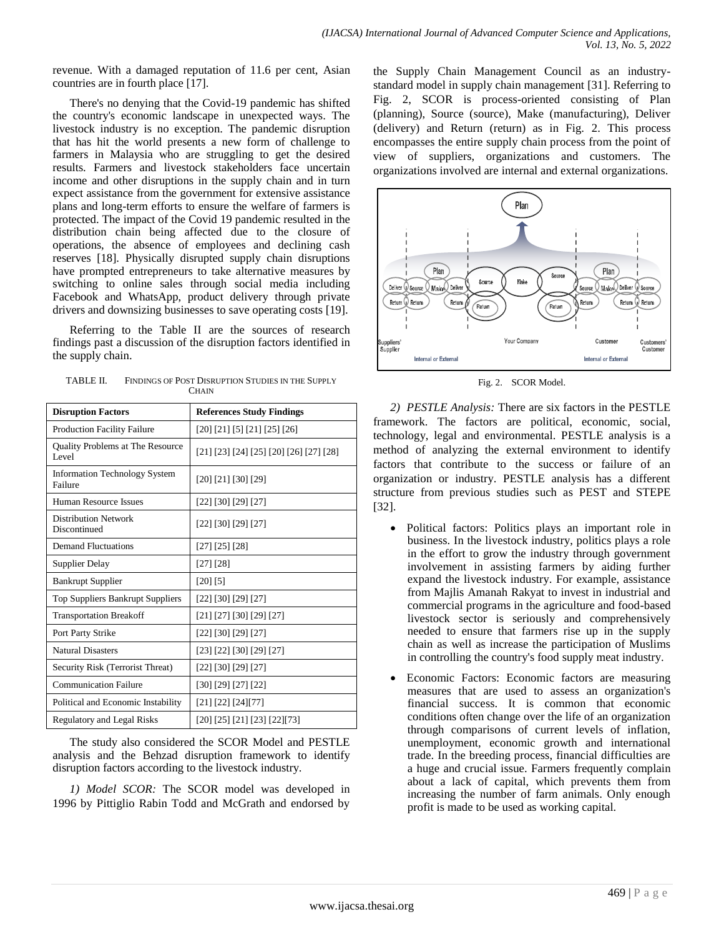revenue. With a damaged reputation of 11.6 per cent, Asian countries are in fourth place [17].

There's no denying that the Covid-19 pandemic has shifted the country's economic landscape in unexpected ways. The livestock industry is no exception. The pandemic disruption that has hit the world presents a new form of challenge to farmers in Malaysia who are struggling to get the desired results. Farmers and livestock stakeholders face uncertain income and other disruptions in the supply chain and in turn expect assistance from the government for extensive assistance plans and long-term efforts to ensure the welfare of farmers is protected. The impact of the Covid 19 pandemic resulted in the distribution chain being affected due to the closure of operations, the absence of employees and declining cash reserves [18]. Physically disrupted supply chain disruptions have prompted entrepreneurs to take alternative measures by switching to online sales through social media including Facebook and WhatsApp, product delivery through private drivers and downsizing businesses to save operating costs [19].

Referring to the Table II are the sources of research findings past a discussion of the disruption factors identified in the supply chain.

| TABLE II. | FINDINGS OF POST DISRUPTION STUDIES IN THE SUPPLY |
|-----------|---------------------------------------------------|
|           | <b>CHAIN</b>                                      |

| <b>Disruption Factors</b>                        | <b>References Study Findings</b>          |
|--------------------------------------------------|-------------------------------------------|
| <b>Production Facility Failure</b>               | [20] [21] [5] [21] [25] [26]              |
| <b>Quality Problems at The Resource</b><br>Level | $[21] [23] [24] [25] [20] [26] [27] [28]$ |
| Information Technology System<br>Failure         | $[20]$ $[21]$ $[30]$ $[29]$               |
| Human Resource Issues                            | [22] [30] [29] [27]                       |
| <b>Distribution Network</b><br>Discontinued      | [22] [30] [29] [27]                       |
| <b>Demand Fluctuations</b>                       | [27] [25] [28]                            |
| Supplier Delay                                   | [27] [28]                                 |
| <b>Bankrupt Supplier</b>                         | $[20]$ $[5]$                              |
| <b>Top Suppliers Bankrupt Suppliers</b>          | [22] [30] [29] [27]                       |
| <b>Transportation Breakoff</b>                   | [21] [27] [30] [29] [27]                  |
| Port Party Strike                                | [22] [30] [29] [27]                       |
| <b>Natural Disasters</b>                         | [23] [22] [30] [29] [27]                  |
| Security Risk (Terrorist Threat)                 | [22] [30] [29] [27]                       |
| <b>Communication Failure</b>                     | $[30]$ $[29]$ $[27]$ $[22]$               |
| Political and Economic Instability               | [21] [22] [24] [77]                       |
| <b>Regulatory and Legal Risks</b>                | [20] [25] [21] [23] [22] [73]             |

The study also considered the SCOR Model and PESTLE analysis and the Behzad disruption framework to identify disruption factors according to the livestock industry.

*1) Model SCOR:* The SCOR model was developed in 1996 by Pittiglio Rabin Todd and McGrath and endorsed by the Supply Chain Management Council as an industrystandard model in supply chain management [31]. Referring to Fig. 2, SCOR is process-oriented consisting of Plan (planning), Source (source), Make (manufacturing), Deliver (delivery) and Return (return) as in Fig. 2. This process encompasses the entire supply chain process from the point of view of suppliers, organizations and customers. The organizations involved are internal and external organizations.



Fig. 2. SCOR Model.

*2) PESTLE Analysis:* There are six factors in the PESTLE framework. The factors are political, economic, social, technology, legal and environmental. PESTLE analysis is a method of analyzing the external environment to identify factors that contribute to the success or failure of an organization or industry. PESTLE analysis has a different structure from previous studies such as PEST and STEPE [32].

- Political factors: Politics plays an important role in business. In the livestock industry, politics plays a role in the effort to grow the industry through government involvement in assisting farmers by aiding further expand the livestock industry. For example, assistance from Majlis Amanah Rakyat to invest in industrial and commercial programs in the agriculture and food-based livestock sector is seriously and comprehensively needed to ensure that farmers rise up in the supply chain as well as increase the participation of Muslims in controlling the country's food supply meat industry.
- Economic Factors: Economic factors are measuring measures that are used to assess an organization's financial success. It is common that economic conditions often change over the life of an organization through comparisons of current levels of inflation, unemployment, economic growth and international trade. In the breeding process, financial difficulties are a huge and crucial issue. Farmers frequently complain about a lack of capital, which prevents them from increasing the number of farm animals. Only enough profit is made to be used as working capital.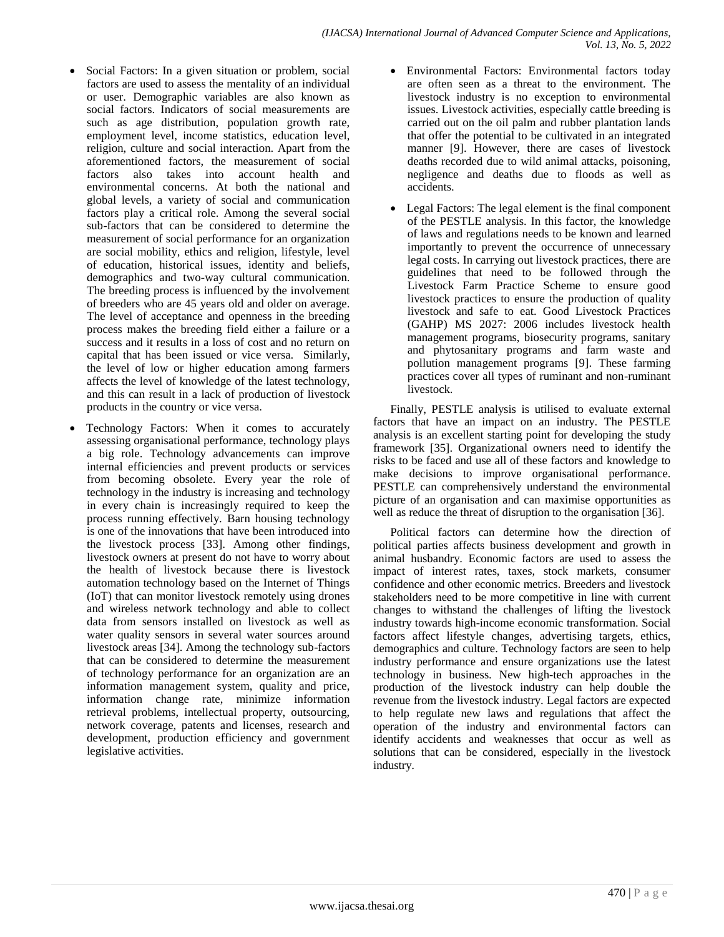- Social Factors: In a given situation or problem, social factors are used to assess the mentality of an individual or user. Demographic variables are also known as social factors. Indicators of social measurements are such as age distribution, population growth rate, employment level, income statistics, education level, religion, culture and social interaction. Apart from the aforementioned factors, the measurement of social factors also takes into account health and environmental concerns. At both the national and global levels, a variety of social and communication factors play a critical role. Among the several social sub-factors that can be considered to determine the measurement of social performance for an organization are social mobility, ethics and religion, lifestyle, level of education, historical issues, identity and beliefs, demographics and two-way cultural communication. The breeding process is influenced by the involvement of breeders who are 45 years old and older on average. The level of acceptance and openness in the breeding process makes the breeding field either a failure or a success and it results in a loss of cost and no return on capital that has been issued or vice versa. Similarly, the level of low or higher education among farmers affects the level of knowledge of the latest technology, and this can result in a lack of production of livestock products in the country or vice versa.
- Technology Factors: When it comes to accurately assessing organisational performance, technology plays a big role. Technology advancements can improve internal efficiencies and prevent products or services from becoming obsolete. Every year the role of technology in the industry is increasing and technology in every chain is increasingly required to keep the process running effectively. Barn housing technology is one of the innovations that have been introduced into the livestock process [33]. Among other findings, livestock owners at present do not have to worry about the health of livestock because there is livestock automation technology based on the Internet of Things (IoT) that can monitor livestock remotely using drones and wireless network technology and able to collect data from sensors installed on livestock as well as water quality sensors in several water sources around livestock areas [34]. Among the technology sub-factors that can be considered to determine the measurement of technology performance for an organization are an information management system, quality and price, information change rate, minimize information retrieval problems, intellectual property, outsourcing, network coverage, patents and licenses, research and development, production efficiency and government legislative activities.
- Environmental Factors: Environmental factors today are often seen as a threat to the environment. The livestock industry is no exception to environmental issues. Livestock activities, especially cattle breeding is carried out on the oil palm and rubber plantation lands that offer the potential to be cultivated in an integrated manner [9]. However, there are cases of livestock deaths recorded due to wild animal attacks, poisoning, negligence and deaths due to floods as well as accidents.
- Legal Factors: The legal element is the final component of the PESTLE analysis. In this factor, the knowledge of laws and regulations needs to be known and learned importantly to prevent the occurrence of unnecessary legal costs. In carrying out livestock practices, there are guidelines that need to be followed through the Livestock Farm Practice Scheme to ensure good livestock practices to ensure the production of quality livestock and safe to eat. Good Livestock Practices (GAHP) MS 2027: 2006 includes livestock health management programs, biosecurity programs, sanitary and phytosanitary programs and farm waste and pollution management programs [9]. These farming practices cover all types of ruminant and non-ruminant livestock.

Finally, PESTLE analysis is utilised to evaluate external factors that have an impact on an industry. The PESTLE analysis is an excellent starting point for developing the study framework [35]. Organizational owners need to identify the risks to be faced and use all of these factors and knowledge to make decisions to improve organisational performance. PESTLE can comprehensively understand the environmental picture of an organisation and can maximise opportunities as well as reduce the threat of disruption to the organisation [36].

Political factors can determine how the direction of political parties affects business development and growth in animal husbandry. Economic factors are used to assess the impact of interest rates, taxes, stock markets, consumer confidence and other economic metrics. Breeders and livestock stakeholders need to be more competitive in line with current changes to withstand the challenges of lifting the livestock industry towards high-income economic transformation. Social factors affect lifestyle changes, advertising targets, ethics, demographics and culture. Technology factors are seen to help industry performance and ensure organizations use the latest technology in business. New high-tech approaches in the production of the livestock industry can help double the revenue from the livestock industry. Legal factors are expected to help regulate new laws and regulations that affect the operation of the industry and environmental factors can identify accidents and weaknesses that occur as well as solutions that can be considered, especially in the livestock industry.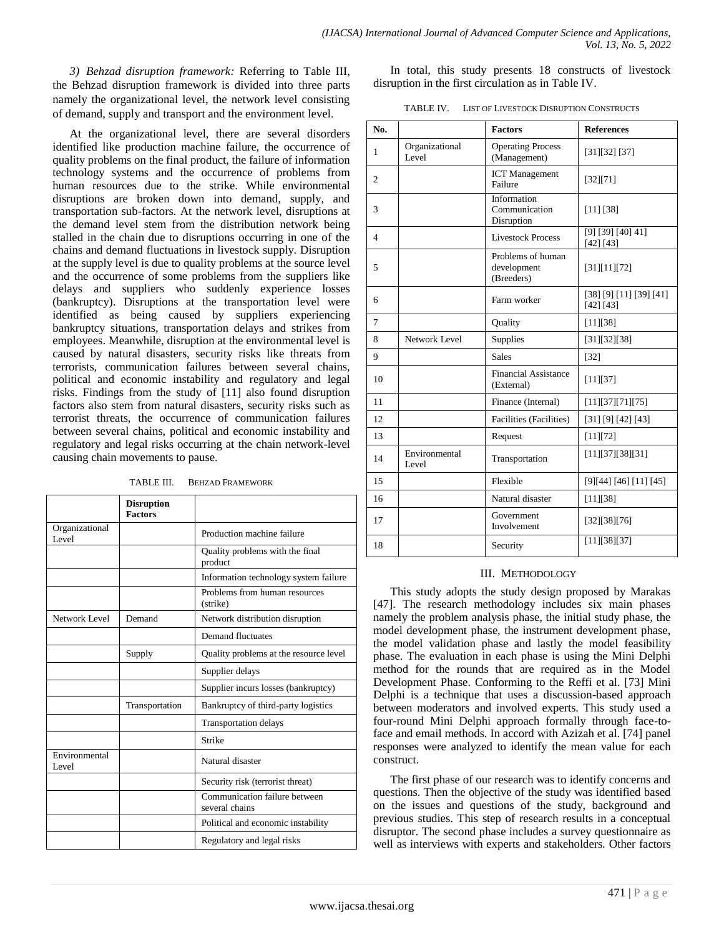*3) Behzad disruption framework:* Referring to Table III, the Behzad disruption framework is divided into three parts namely the organizational level, the network level consisting of demand, supply and transport and the environment level.

At the organizational level, there are several disorders identified like production machine failure, the occurrence of quality problems on the final product, the failure of information technology systems and the occurrence of problems from human resources due to the strike. While environmental disruptions are broken down into demand, supply, and transportation sub-factors. At the network level, disruptions at the demand level stem from the distribution network being stalled in the chain due to disruptions occurring in one of the chains and demand fluctuations in livestock supply. Disruption at the supply level is due to quality problems at the source level and the occurrence of some problems from the suppliers like delays and suppliers who suddenly experience losses (bankruptcy). Disruptions at the transportation level were identified as being caused by suppliers experiencing bankruptcy situations, transportation delays and strikes from employees. Meanwhile, disruption at the environmental level is caused by natural disasters, security risks like threats from terrorists, communication failures between several chains, political and economic instability and regulatory and legal risks. Findings from the study of [11] also found disruption factors also stem from natural disasters, security risks such as terrorist threats, the occurrence of communication failures between several chains, political and economic instability and regulatory and legal risks occurring at the chain network-level causing chain movements to pause.

|                         | <b>Disruption</b><br><b>Factors</b> |                                                 |
|-------------------------|-------------------------------------|-------------------------------------------------|
| Organizational<br>Level |                                     | Production machine failure                      |
|                         |                                     | Quality problems with the final<br>product      |
|                         |                                     | Information technology system failure           |
|                         |                                     | Problems from human resources<br>(strike)       |
| Network Level           | Demand                              | Network distribution disruption                 |
|                         |                                     | Demand fluctuates                               |
|                         | Supply                              | Quality problems at the resource level          |
|                         |                                     | Supplier delays                                 |
|                         |                                     | Supplier incurs losses (bankruptcy)             |
|                         | Transportation                      | Bankruptcy of third-party logistics             |
|                         |                                     | <b>Transportation delays</b>                    |
|                         |                                     | Strike                                          |
| Environmental<br>Level  |                                     | Natural disaster                                |
|                         |                                     | Security risk (terrorist threat)                |
|                         |                                     | Communication failure between<br>several chains |
|                         |                                     | Political and economic instability              |
|                         |                                     | Regulatory and legal risks                      |

TABLE III. BEHZAD FRAMEWORK

In total, this study presents 18 constructs of livestock disruption in the first circulation as in Table IV.

| TABLE IV. | <b>LIST OF LIVESTOCK DISRUPTION CONSTRUCTS</b> |
|-----------|------------------------------------------------|
|-----------|------------------------------------------------|

| No.            |                         | <b>Factors</b>                                 | <b>References</b>                            |
|----------------|-------------------------|------------------------------------------------|----------------------------------------------|
| 1              | Organizational<br>Level | <b>Operating Process</b><br>(Management)       | [31][32][37]                                 |
| $\mathfrak{2}$ |                         | <b>ICT</b> Management<br>Failure               | [32][71]                                     |
| 3              |                         | Information<br>Communication<br>Disruption     | [11] [38]                                    |
| 4              |                         | <b>Livestock Process</b>                       | [9] [39] [40] $\overline{41}$ ]<br>[42] [43] |
| 5              |                         | Problems of human<br>development<br>(Breeders) | [31][11][72]                                 |
| 6              |                         | Farm worker                                    | [38] [9] [11] [39] [41]<br>[42] [43]         |
| 7              |                         | Quality                                        | [11][38]                                     |
| 8              | Network Level           | Supplies                                       | [31][32][38]                                 |
| 9              |                         | <b>Sales</b>                                   | $[32]$                                       |
| 10             |                         | <b>Financial Assistance</b><br>(External)      | [11][37]                                     |
| 11             |                         | Finance (Internal)                             | [11][37][71][75]                             |
| 12             |                         | Facilities (Facilities)                        | [31] [9] [42] [43]                           |
| 13             |                         | Request                                        | [11][72]                                     |
| 14             | Environmental<br>Level  | Transportation                                 | [11][37][38][31]                             |
| 15             |                         | Flexible                                       | [9][44][46][11][45]                          |
| 16             |                         | Natural disaster                               | [11][38]                                     |
| 17             |                         | Government<br>Involvement                      | [32][38][76]                                 |
| 18             |                         | Security                                       | [11][38][37]                                 |

## III. METHODOLOGY

This study adopts the study design proposed by Marakas [47]. The research methodology includes six main phases namely the problem analysis phase, the initial study phase, the model development phase, the instrument development phase, the model validation phase and lastly the model feasibility phase. The evaluation in each phase is using the Mini Delphi method for the rounds that are required as in the Model Development Phase. Conforming to the Reffi et al. [73] Mini Delphi is a technique that uses a discussion-based approach between moderators and involved experts. This study used a four-round Mini Delphi approach formally through face-toface and email methods. In accord with Azizah et al. [74] panel responses were analyzed to identify the mean value for each construct.

The first phase of our research was to identify concerns and questions. Then the objective of the study was identified based on the issues and questions of the study, background and previous studies. This step of research results in a conceptual disruptor. The second phase includes a survey questionnaire as well as interviews with experts and stakeholders. Other factors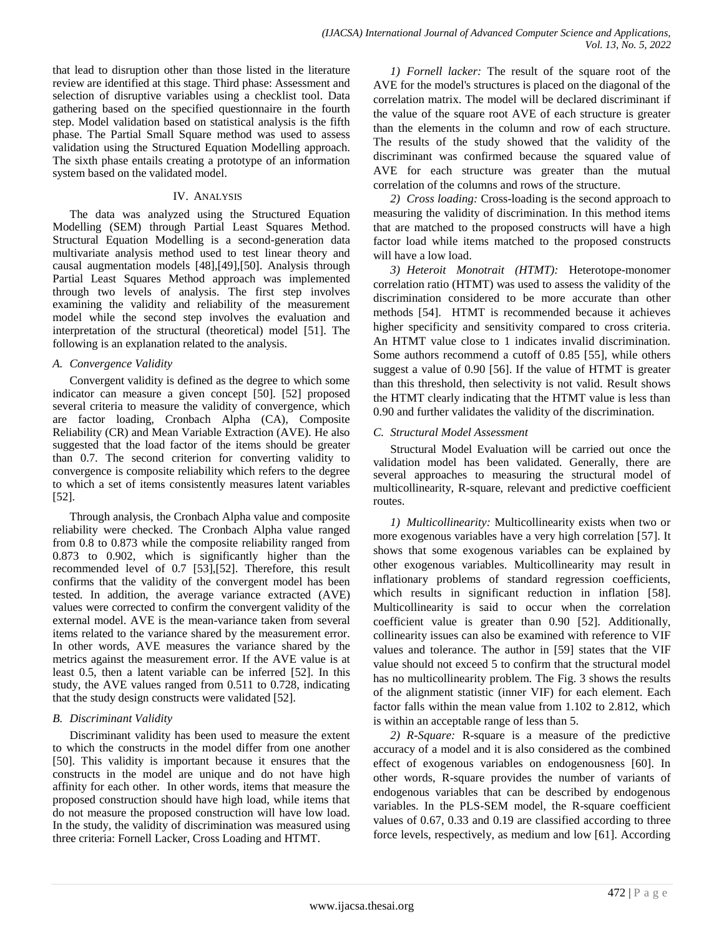that lead to disruption other than those listed in the literature review are identified at this stage. Third phase: Assessment and selection of disruptive variables using a checklist tool. Data gathering based on the specified questionnaire in the fourth step. Model validation based on statistical analysis is the fifth phase. The Partial Small Square method was used to assess validation using the Structured Equation Modelling approach. The sixth phase entails creating a prototype of an information system based on the validated model.

# IV. ANALYSIS

The data was analyzed using the Structured Equation Modelling (SEM) through Partial Least Squares Method. Structural Equation Modelling is a second-generation data multivariate analysis method used to test linear theory and causal augmentation models [48],[49],[50]. Analysis through Partial Least Squares Method approach was implemented through two levels of analysis. The first step involves examining the validity and reliability of the measurement model while the second step involves the evaluation and interpretation of the structural (theoretical) model [51]. The following is an explanation related to the analysis.

# *A. Convergence Validity*

Convergent validity is defined as the degree to which some indicator can measure a given concept [50]. [52] proposed several criteria to measure the validity of convergence, which are factor loading, Cronbach Alpha (CA), Composite Reliability (CR) and Mean Variable Extraction (AVE). He also suggested that the load factor of the items should be greater than 0.7. The second criterion for converting validity to convergence is composite reliability which refers to the degree to which a set of items consistently measures latent variables [52].

Through analysis, the Cronbach Alpha value and composite reliability were checked. The Cronbach Alpha value ranged from 0.8 to 0.873 while the composite reliability ranged from 0.873 to 0.902, which is significantly higher than the recommended level of 0.7 [53],[52]. Therefore, this result confirms that the validity of the convergent model has been tested. In addition, the average variance extracted (AVE) values were corrected to confirm the convergent validity of the external model. AVE is the mean-variance taken from several items related to the variance shared by the measurement error. In other words, AVE measures the variance shared by the metrics against the measurement error. If the AVE value is at least 0.5, then a latent variable can be inferred [52]. In this study, the AVE values ranged from 0.511 to 0.728, indicating that the study design constructs were validated [52].

# *B. Discriminant Validity*

Discriminant validity has been used to measure the extent to which the constructs in the model differ from one another [50]. This validity is important because it ensures that the constructs in the model are unique and do not have high affinity for each other. In other words, items that measure the proposed construction should have high load, while items that do not measure the proposed construction will have low load. In the study, the validity of discrimination was measured using three criteria: Fornell Lacker, Cross Loading and HTMT.

*1) Fornell lacker:* The result of the square root of the AVE for the model's structures is placed on the diagonal of the correlation matrix. The model will be declared discriminant if the value of the square root AVE of each structure is greater than the elements in the column and row of each structure. The results of the study showed that the validity of the discriminant was confirmed because the squared value of AVE for each structure was greater than the mutual correlation of the columns and rows of the structure.

*2) Cross loading:* Cross-loading is the second approach to measuring the validity of discrimination. In this method items that are matched to the proposed constructs will have a high factor load while items matched to the proposed constructs will have a low load.

*3) Heteroit Monotrait (HTMT):* Heterotope-monomer correlation ratio (HTMT) was used to assess the validity of the discrimination considered to be more accurate than other methods [54]. HTMT is recommended because it achieves higher specificity and sensitivity compared to cross criteria. An HTMT value close to 1 indicates invalid discrimination. Some authors recommend a cutoff of 0.85 [55], while others suggest a value of 0.90 [56]. If the value of HTMT is greater than this threshold, then selectivity is not valid. Result shows the HTMT clearly indicating that the HTMT value is less than 0.90 and further validates the validity of the discrimination.

# *C. Structural Model Assessment*

Structural Model Evaluation will be carried out once the validation model has been validated. Generally, there are several approaches to measuring the structural model of multicollinearity, R-square, relevant and predictive coefficient routes.

*1) Multicollinearity:* Multicollinearity exists when two or more exogenous variables have a very high correlation [57]. It shows that some exogenous variables can be explained by other exogenous variables. Multicollinearity may result in inflationary problems of standard regression coefficients, which results in significant reduction in inflation [58]. Multicollinearity is said to occur when the correlation coefficient value is greater than 0.90 [52]. Additionally, collinearity issues can also be examined with reference to VIF values and tolerance. The author in [59] states that the VIF value should not exceed 5 to confirm that the structural model has no multicollinearity problem. The Fig. 3 shows the results of the alignment statistic (inner VIF) for each element. Each factor falls within the mean value from 1.102 to 2.812, which is within an acceptable range of less than 5.

*2) R-Square:* R-square is a measure of the predictive accuracy of a model and it is also considered as the combined effect of exogenous variables on endogenousness [60]. In other words, R-square provides the number of variants of endogenous variables that can be described by endogenous variables. In the PLS-SEM model, the R-square coefficient values of 0.67, 0.33 and 0.19 are classified according to three force levels, respectively, as medium and low [61]. According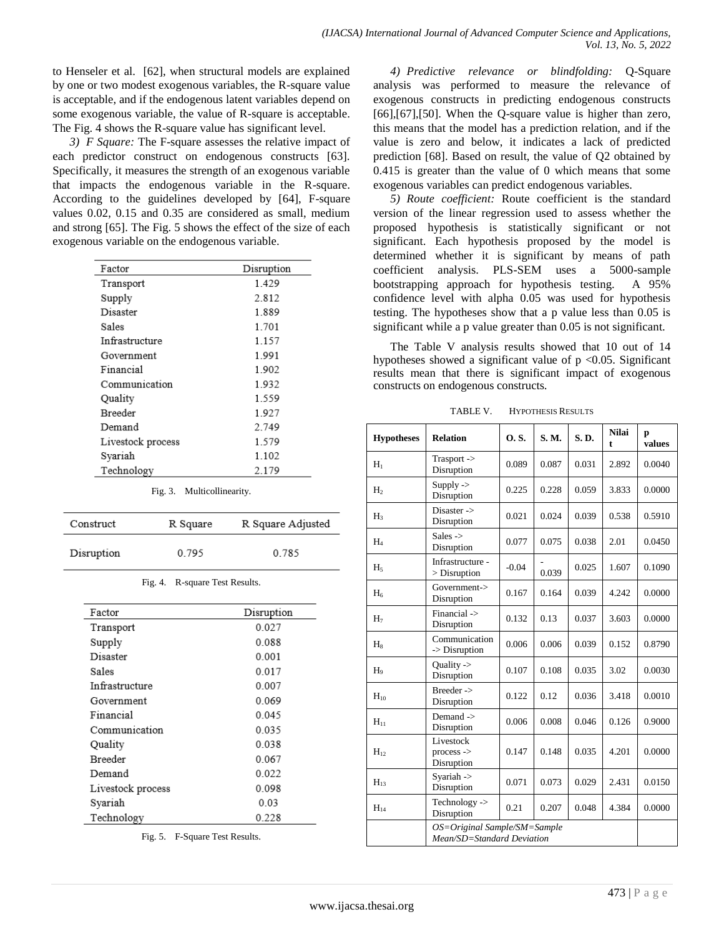to Henseler et al. [62], when structural models are explained by one or two modest exogenous variables, the R-square value is acceptable, and if the endogenous latent variables depend on some exogenous variable, the value of R-square is acceptable. The Fig. 4 shows the R-square value has significant level.

*3) F Square:* The F-square assesses the relative impact of each predictor construct on endogenous constructs [63]. Specifically, it measures the strength of an exogenous variable that impacts the endogenous variable in the R-square. According to the guidelines developed by [64], F-square values 0.02, 0.15 and 0.35 are considered as small, medium and strong [65]. The Fig. 5 shows the effect of the size of each exogenous variable on the endogenous variable.

| Factor            | Disruption |  |  |
|-------------------|------------|--|--|
| Transport         | 1429       |  |  |
| Supply            | 2.812      |  |  |
| Disaster          | 1.889      |  |  |
| Sales             | 1701       |  |  |
| Infrastructure    | 1.157      |  |  |
| Government        | 1.991      |  |  |
| Financial         | 1.902      |  |  |
| Communication     | 1.932      |  |  |
| Quality           | 1559       |  |  |
| <b>Breeder</b>    | 1.927      |  |  |
| Demand            | 2.749      |  |  |
| Livestock process | 1.579      |  |  |
| Syariah           | 1.102      |  |  |
| Technology        | 2.179      |  |  |

| Fig. 3. | Multicollinearity. |
|---------|--------------------|
|---------|--------------------|

| Construct  | R Square | R Square Adjusted |  |  |
|------------|----------|-------------------|--|--|
| Disruption | 0.795    | 0.785             |  |  |

| Fig. 4. R-square Test Results. |  |
|--------------------------------|--|
|                                |  |

| Factor            | Disruption |  |  |
|-------------------|------------|--|--|
|                   |            |  |  |
| Transport         | 0.027      |  |  |
| Supply            | 0.088      |  |  |
| Disaster          | 0.001      |  |  |
| Sales             | 0 0 1 7    |  |  |
| Infrastructure    | 0.007      |  |  |
| Government        | 0.069      |  |  |
| Financial         | 0.045      |  |  |
| Communication     | 0.035      |  |  |
| Quality           | 0.038      |  |  |
| <b>Breeder</b>    | 0 067      |  |  |
| Demand            | 0.022      |  |  |
| Livestock process | 0.098      |  |  |
| Syariah           | 0.03       |  |  |
| Technology        | 0.228      |  |  |

Fig. 5. F-Square Test Results.

*4) Predictive relevance or blindfolding:* Q-Square analysis was performed to measure the relevance of exogenous constructs in predicting endogenous constructs [66],[67],[50]. When the Q-square value is higher than zero, this means that the model has a prediction relation, and if the value is zero and below, it indicates a lack of predicted prediction [68]. Based on result, the value of Q2 obtained by 0.415 is greater than the value of 0 which means that some exogenous variables can predict endogenous variables.

*5) Route coefficient:* Route coefficient is the standard version of the linear regression used to assess whether the proposed hypothesis is statistically significant or not significant. Each hypothesis proposed by the model is determined whether it is significant by means of path coefficient analysis. PLS-SEM uses a 5000-sample bootstrapping approach for hypothesis testing. A 95% confidence level with alpha 0.05 was used for hypothesis testing. The hypotheses show that a p value less than 0.05 is significant while a p value greater than 0.05 is not significant.

The Table V analysis results showed that 10 out of 14 hypotheses showed a significant value of  $p < 0.05$ . Significant results mean that there is significant impact of exogenous constructs on endogenous constructs.

TABLE V. HYPOTHESIS RESULTS

| <b>Hypotheses</b> | <b>Relation</b>                                            | 0.5.    | <b>S.M.</b> | S.D.  | <b>Nilai</b><br>t | р<br>values |
|-------------------|------------------------------------------------------------|---------|-------------|-------|-------------------|-------------|
| $H_1$             | Trasport -><br>Disruption                                  | 0.089   | 0.087       | 0.031 | 2.892             | 0.0040      |
| H <sub>2</sub>    | Supply $\rightarrow$<br>Disruption                         | 0.225   | 0.228       | 0.059 | 3.833             | 0.0000      |
| $H_3$             | Disaster -><br>Disruption                                  | 0.021   | 0.024       | 0.039 | 0.538             | 0.5910      |
| $H_4$             | Sales $\rightarrow$<br>Disruption                          | 0.077   | 0.075       | 0.038 | 2.01              | 0.0450      |
| $H_5$             | Infrastructure -<br>$>$ Disruption                         | $-0.04$ | 0.039       | 0.025 | 1.607             | 0.1090      |
| $H_6$             | Government-><br>Disruption                                 | 0.167   | 0.164       | 0.039 | 4.242             | 0.0000      |
| H <sub>7</sub>    | Financial -><br>Disruption                                 | 0.132   | 0.13        | 0.037 | 3.603             | 0.0000      |
| $H_8$             | Communication<br>-> Disruption                             | 0.006   | 0.006       | 0.039 | 0.152             | 0.8790      |
| H <sub>9</sub>    | Quality -><br>Disruption                                   | 0.107   | 0.108       | 0.035 | 3.02              | 0.0030      |
| $H_{10}$          | Breeder -><br>Disruption                                   | 0.122   | 0.12        | 0.036 | 3.418             | 0.0010      |
| $H_{11}$          | Demand $\rightarrow$<br>Disruption                         | 0.006   | 0.008       | 0.046 | 0.126             | 0.9000      |
| $H_{12}$          | Livestock<br>$process$ -><br>Disruption                    | 0.147   | 0.148       | 0.035 | 4.201             | 0.0000      |
| $H_{13}$          | Syariah -><br>Disruption                                   | 0.071   | 0.073       | 0.029 | 2.431             | 0.0150      |
| $H_{14}$          | Technology -><br>Disruption                                | 0.21    | 0.207       | 0.048 | 4.384             | 0.0000      |
|                   | OS=Original Sample/SM=Sample<br>Mean/SD=Standard Deviation |         |             |       |                   |             |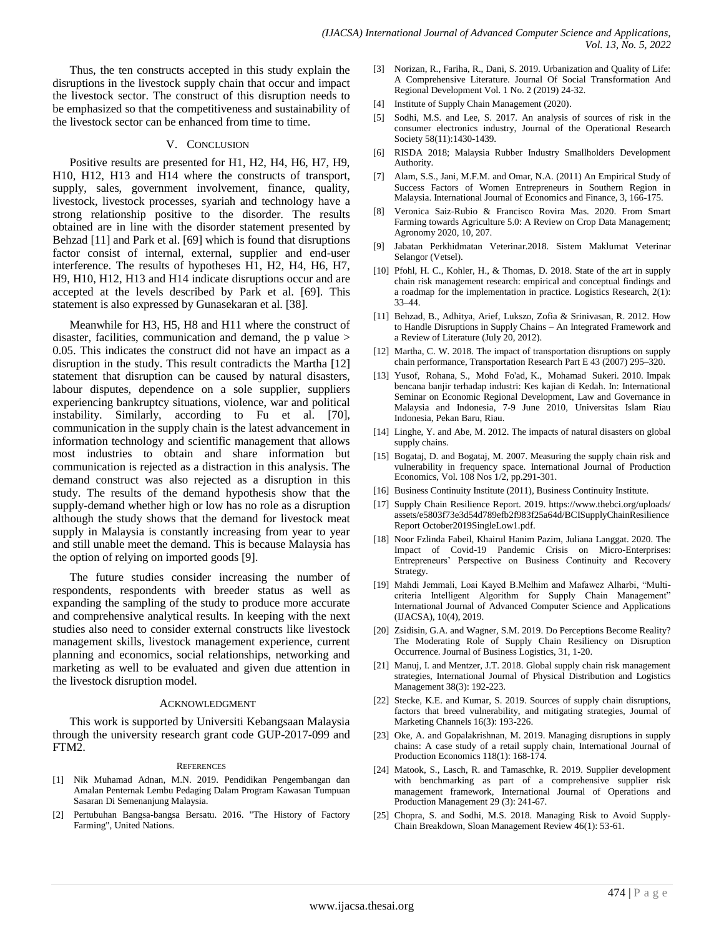Thus, the ten constructs accepted in this study explain the disruptions in the livestock supply chain that occur and impact the livestock sector. The construct of this disruption needs to be emphasized so that the competitiveness and sustainability of the livestock sector can be enhanced from time to time.

## V. CONCLUSION

Positive results are presented for H1, H2, H4, H6, H7, H9, H10, H12, H13 and H14 where the constructs of transport, supply, sales, government involvement, finance, quality, livestock, livestock processes, syariah and technology have a strong relationship positive to the disorder. The results obtained are in line with the disorder statement presented by Behzad [11] and Park et al. [69] which is found that disruptions factor consist of internal, external, supplier and end-user interference. The results of hypotheses H1, H2, H4, H6, H7, H9, H10, H12, H13 and H14 indicate disruptions occur and are accepted at the levels described by Park et al. [69]. This statement is also expressed by Gunasekaran et al. [38].

Meanwhile for H3, H5, H8 and H11 where the construct of disaster, facilities, communication and demand, the p value > 0.05. This indicates the construct did not have an impact as a disruption in the study. This result contradicts the Martha [12] statement that disruption can be caused by natural disasters, labour disputes, dependence on a sole supplier, suppliers experiencing bankruptcy situations, violence, war and political instability. Similarly, according to Fu et al. [70], communication in the supply chain is the latest advancement in information technology and scientific management that allows most industries to obtain and share information but communication is rejected as a distraction in this analysis. The demand construct was also rejected as a disruption in this study. The results of the demand hypothesis show that the supply-demand whether high or low has no role as a disruption although the study shows that the demand for livestock meat supply in Malaysia is constantly increasing from year to year and still unable meet the demand. This is because Malaysia has the option of relying on imported goods [9].

The future studies consider increasing the number of respondents, respondents with breeder status as well as expanding the sampling of the study to produce more accurate and comprehensive analytical results. In keeping with the next studies also need to consider external constructs like livestock management skills, livestock management experience, current planning and economics, social relationships, networking and marketing as well to be evaluated and given due attention in the livestock disruption model.

#### ACKNOWLEDGMENT

This work is supported by Universiti Kebangsaan Malaysia through the university research grant code GUP-2017-099 and FTM2.

#### **REFERENCES**

- [1] Nik Muhamad Adnan, M.N. 2019. Pendidikan Pengembangan dan Amalan Penternak Lembu Pedaging Dalam Program Kawasan Tumpuan Sasaran Di Semenanjung Malaysia.
- [2] Pertubuhan Bangsa-bangsa Bersatu. 2016. "The History of Factory Farming", United Nations.
- [3] Norizan, R., Fariha, R., Dani, S. 2019. Urbanization and Quality of Life: A Comprehensive Literature. Journal Of Social Transformation And Regional Development Vol. 1 No. 2 (2019) 24-32.
- [4] Institute of Supply Chain Management (2020).
- [5] Sodhi, M.S. and Lee, S. 2017. An analysis of sources of risk in the consumer electronics industry, Journal of the Operational Research Society 58(11):1430-1439.
- [6] RISDA 2018; Malaysia Rubber Industry Smallholders Development Authority.
- [7] Alam, S.S., Jani, M.F.M. and Omar, N.A. (2011) An Empirical Study of Success Factors of Women Entrepreneurs in Southern Region in Malaysia. International Journal of Economics and Finance, 3, 166-175.
- [8] Veronica Saiz-Rubio & Francisco Rovira Mas. 2020. From Smart Farming towards Agriculture 5.0: A Review on Crop Data Management; Agronomy 2020, 10, 207.
- [9] Jabatan Perkhidmatan Veterinar.2018. Sistem Maklumat Veterinar Selangor (Vetsel).
- [10] Pfohl, H. C., Kohler, H., & Thomas, D. 2018. State of the art in supply chain risk management research: empirical and conceptual findings and a roadmap for the implementation in practice. Logistics Research, 2(1): 33–44.
- [11] Behzad, B., Adhitya, Arief, Lukszo, Zofia & Srinivasan, R. 2012. How to Handle Disruptions in Supply Chains – An Integrated Framework and a Review of Literature (July 20, 2012).
- [12] Martha, C. W. 2018. The impact of transportation disruptions on supply chain performance, Transportation Research Part E 43 (2007) 295–320.
- [13] Yusof, Rohana, S., Mohd Fo'ad, K., Mohamad Sukeri. 2010. Impak bencana banjir terhadap industri: Kes kajian di Kedah. In: International Seminar on Economic Regional Development, Law and Governance in Malaysia and Indonesia, 7-9 June 2010, Universitas Islam Riau Indonesia, Pekan Baru, Riau.
- [14] Linghe, Y. and Abe, M. 2012. The impacts of natural disasters on global supply chains.
- [15] Bogataj, D. and Bogataj, M. 2007. Measuring the supply chain risk and vulnerability in frequency space. International Journal of Production Economics, Vol. 108 Nos 1/2, pp.291-301.
- [16] Business Continuity Institute (2011), Business Continuity Institute.
- [17] Supply Chain Resilience Report. 2019. https://www.thebci.org/uploads/ assets/e5803f73e3d54d789efb2f983f25a64d/BCISupplyChainResilience Report October2019SingleLow1.pdf.
- [18] Noor Fzlinda Fabeil, Khairul Hanim Pazim, Juliana Langgat. 2020. The Impact of Covid-19 Pandemic Crisis on Micro-Enterprises: Entrepreneurs' Perspective on Business Continuity and Recovery Strategy.
- [19] Mahdi Jemmali, Loai Kayed B.Melhim and Mafawez Alharbi, "Multicriteria Intelligent Algorithm for Supply Chain Management" International Journal of Advanced Computer Science and Applications (IJACSA), 10(4), 2019.
- [20] Zsidisin, G.A. and Wagner, S.M. 2019. Do Perceptions Become Reality? The Moderating Role of Supply Chain Resiliency on Disruption Occurrence. Journal of Business Logistics, 31, 1-20.
- [21] Manuj, I. and Mentzer, J.T. 2018. Global supply chain risk management strategies, International Journal of Physical Distribution and Logistics Management 38(3): 192-223.
- [22] Stecke, K.E. and Kumar, S. 2019. Sources of supply chain disruptions, factors that breed vulnerability, and mitigating strategies, Journal of Marketing Channels 16(3): 193-226.
- [23] Oke, A. and Gopalakrishnan, M. 2019. Managing disruptions in supply chains: A case study of a retail supply chain, International Journal of Production Economics 118(1): 168-174.
- [24] Matook, S., Lasch, R. and Tamaschke, R. 2019. Supplier development with benchmarking as part of a comprehensive supplier risk management framework, International Journal of Operations and Production Management 29 (3): 241-67.
- [25] Chopra, S. and Sodhi, M.S. 2018. Managing Risk to Avoid Supply-Chain Breakdown, Sloan Management Review 46(1): 53-61.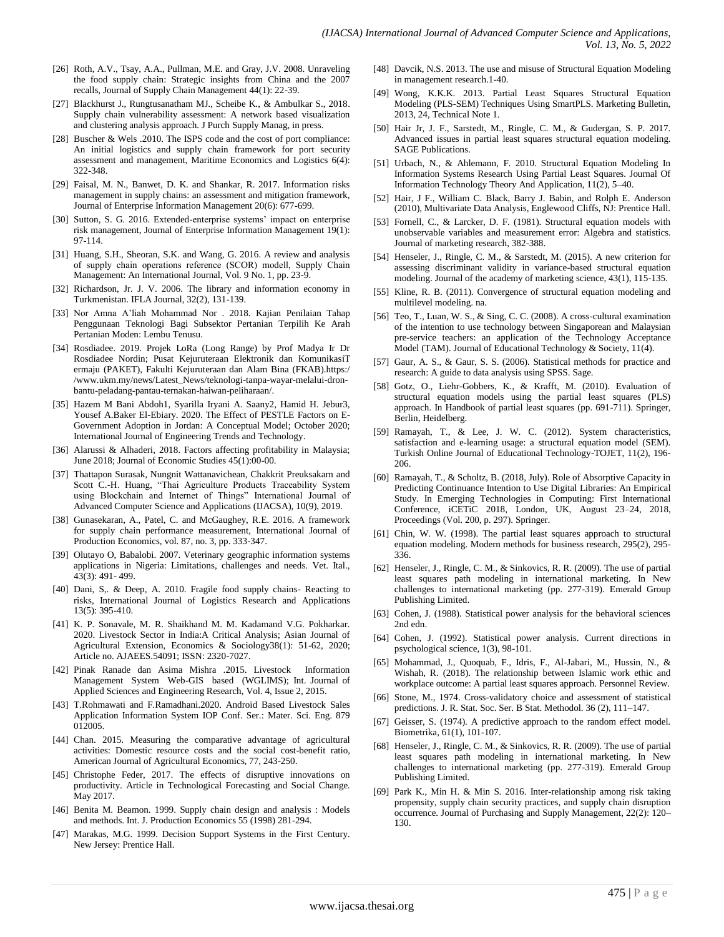- [26] Roth, A.V., Tsay, A.A., Pullman, M.E. and Gray, J.V. 2008. Unraveling the food supply chain: Strategic insights from China and the 2007 recalls, Journal of Supply Chain Management 44(1): 22-39.
- [27] Blackhurst J., Rungtusanatham MJ., Scheibe K., & Ambulkar S., 2018. Supply chain vulnerability assessment: A network based visualization and clustering analysis approach. J Purch Supply Manag, in press.
- [28] Buscher & Wels .2010. The ISPS code and the cost of port compliance: An initial logistics and supply chain framework for port security assessment and management, Maritime Economics and Logistics 6(4): 322-348.
- [29] Faisal, M. N., Banwet, D. K. and Shankar, R. 2017. Information risks management in supply chains: an assessment and mitigation framework, Journal of Enterprise Information Management 20(6): 677-699.
- [30] Sutton, S. G. 2016. Extended-enterprise systems' impact on enterprise risk management, Journal of Enterprise Information Management 19(1): 97-114.
- [31] Huang, S.H., Sheoran, S.K. and Wang, G. 2016. A review and analysis of supply chain operations reference (SCOR) modell, Supply Chain Management: An International Journal, Vol. 9 No. 1, pp. 23-9.
- [32] Richardson, Jr. J. V. 2006. The library and information economy in Turkmenistan. IFLA Journal, 32(2), 131-139.
- [33] Nor Amna A'liah Mohammad Nor . 2018. Kajian Penilaian Tahap Penggunaan Teknologi Bagi Subsektor Pertanian Terpilih Ke Arah Pertanian Moden: Lembu Tenusu.
- [34] Rosdiadee. 2019. Projek LoRa (Long Range) by Prof Madya Ir Dr Rosdiadee Nordin; Pusat Kejuruteraan Elektronik dan KomunikasiT ermaju (PAKET), Fakulti Kejuruteraan dan Alam Bina (FKAB).https:/ /www.ukm.my/news/Latest\_News/teknologi-tanpa-wayar-melalui-dronbantu-peladang-pantau-ternakan-haiwan-peliharaan/.
- [35] Hazem M Bani Abdoh1, Syarilla Iryani A. Saany2, Hamid H. Jebur3, Yousef A.Baker El-Ebiary. 2020. The Effect of PESTLE Factors on E-Government Adoption in Jordan: A Conceptual Model; October 2020; International Journal of Engineering Trends and Technology.
- [36] Alarussi & Alhaderi, 2018. Factors affecting profitability in Malaysia; June 2018; Journal of Economic Studies 45(1):00-00.
- [37] Thattapon Surasak, Nungnit Wattanavichean, Chakkrit Preuksakarn and Scott C.-H. Huang, "Thai Agriculture Products Traceability System using Blockchain and Internet of Things" International Journal of Advanced Computer Science and Applications (IJACSA), 10(9), 2019.
- [38] Gunasekaran, A., Patel, C. and McGaughey, R.E. 2016. A framework for supply chain performance measurement, International Journal of Production Economics, vol. 87, no. 3, pp. 333-347.
- [39] Olutayo O, Babalobi. 2007. Veterinary geographic information systems applications in Nigeria: Limitations, challenges and needs. Vet. Ital., 43(3): 491- 499.
- [40] Dani, S,. & Deep, A. 2010. Fragile food supply chains- Reacting to risks, International Journal of Logistics Research and Applications 13(5): 395-410.
- [41] K. P. Sonavale, M. R. Shaikhand M. M. Kadamand V.G. Pokharkar. 2020. Livestock Sector in India:A Critical Analysis; Asian Journal of Agricultural Extension, Economics & Sociology38(1): 51-62, 2020; Article no. AJAEES.54091; ISSN: 2320-7027.
- [42] Pinak Ranade dan Asima Mishra .2015. Livestock Information Management System Web-GIS based (WGLIMS); Int. Journal of Applied Sciences and Engineering Research, Vol. 4, Issue 2, 2015.
- [43] T.Rohmawati and F.Ramadhani.2020. Android Based Livestock Sales Application Information System IOP Conf. Ser.: Mater. Sci. Eng. 879 012005.
- [44] Chan. 2015. Measuring the comparative advantage of agricultural activities: Domestic resource costs and the social cost-benefit ratio, American Journal of Agricultural Economics, 77, 243-250.
- [45] Christophe Feder, 2017. The effects of disruptive innovations on productivity. Article in Technological Forecasting and Social Change. May 2017.
- [46] Benita M. Beamon. 1999. Supply chain design and analysis : Models and methods. Int. J. Production Economics 55 (1998) 281-294.
- [47] Marakas, M.G. 1999. Decision Support Systems in the First Century. New Jersey: Prentice Hall.
- [48] Davcik, N.S. 2013. The use and misuse of Structural Equation Modeling in management research.1-40.
- [49] Wong, K.K.K. 2013. Partial Least Squares Structural Equation Modeling (PLS-SEM) Techniques Using SmartPLS. Marketing Bulletin, 2013, 24, Technical Note 1.
- [50] Hair Jr, J. F., Sarstedt, M., Ringle, C. M., & Gudergan, S. P. 2017. Advanced issues in partial least squares structural equation modeling. SAGE Publications.
- [51] Urbach, N., & Ahlemann, F. 2010. Structural Equation Modeling In Information Systems Research Using Partial Least Squares. Journal Of Information Technology Theory And Application, 11(2), 5–40.
- [52] Hair, J F., William C. Black, Barry J. Babin, and Rolph E. Anderson (2010), Multivariate Data Analysis, Englewood Cliffs, NJ: Prentice Hall.
- [53] Fornell, C., & Larcker, D. F. (1981). Structural equation models with unobservable variables and measurement error: Algebra and statistics. Journal of marketing research, 382-388.
- [54] Henseler, J., Ringle, C. M., & Sarstedt, M. (2015). A new criterion for assessing discriminant validity in variance-based structural equation modeling. Journal of the academy of marketing science, 43(1), 115-135.
- [55] Kline, R. B. (2011). Convergence of structural equation modeling and multilevel modeling. na.
- [56] Teo, T., Luan, W. S., & Sing, C. C. (2008). A cross-cultural examination of the intention to use technology between Singaporean and Malaysian pre-service teachers: an application of the Technology Acceptance Model (TAM). Journal of Educational Technology & Society, 11(4).
- [57] Gaur, A. S., & Gaur, S. S. (2006). Statistical methods for practice and research: A guide to data analysis using SPSS. Sage.
- [58] Gotz, O., Liehr-Gobbers, K., & Krafft, M. (2010). Evaluation of structural equation models using the partial least squares (PLS) approach. In Handbook of partial least squares (pp. 691-711). Springer, Berlin, Heidelberg.
- [59] Ramayah, T., & Lee, J. W. C. (2012). System characteristics, satisfaction and e-learning usage: a structural equation model (SEM). Turkish Online Journal of Educational Technology-TOJET, 11(2), 196- 206.
- [60] Ramayah, T., & Scholtz, B. (2018, July). Role of Absorptive Capacity in Predicting Continuance Intention to Use Digital Libraries: An Empirical Study. In Emerging Technologies in Computing: First International Conference, iCETiC 2018, London, UK, August 23–24, 2018, Proceedings (Vol. 200, p. 297). Springer.
- [61] Chin, W. W. (1998). The partial least squares approach to structural equation modeling. Modern methods for business research, 295(2), 295- 336.
- [62] Henseler, J., Ringle, C. M., & Sinkovics, R. R. (2009). The use of partial least squares path modeling in international marketing. In New challenges to international marketing (pp. 277-319). Emerald Group Publishing Limited.
- [63] Cohen, J. (1988). Statistical power analysis for the behavioral sciences 2nd edn.
- [64] Cohen, J. (1992). Statistical power analysis. Current directions in psychological science, 1(3), 98-101.
- [65] Mohammad, J., Quoquab, F., Idris, F., Al-Jabari, M., Hussin, N., & Wishah, R. (2018). The relationship between Islamic work ethic and workplace outcome: A partial least squares approach. Personnel Review.
- [66] Stone, M., 1974. Cross-validatory choice and assessment of statistical predictions. J. R. Stat. Soc. Ser. B Stat. Methodol. 36 (2), 111–147.
- [67] Geisser, S. (1974). A predictive approach to the random effect model. Biometrika, 61(1), 101-107.
- [68] Henseler, J., Ringle, C. M., & Sinkovics, R. R. (2009). The use of partial least squares path modeling in international marketing. In New challenges to international marketing (pp. 277-319). Emerald Group Publishing Limited.
- [69] Park K., Min H. & Min S. 2016. Inter-relationship among risk taking propensity, supply chain security practices, and supply chain disruption occurrence. Journal of Purchasing and Supply Management, 22(2): 120– 130.